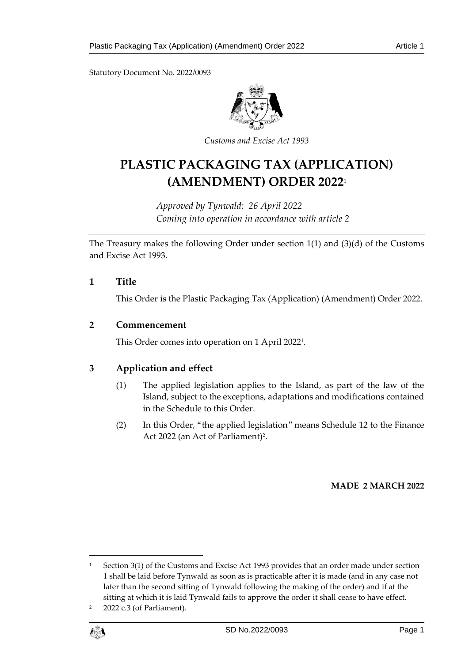Statutory Document No. 2022/0093



*Customs and Excise Act 1993*

# **PLASTIC PACKAGING TAX (APPLICATION) (AMENDMENT) ORDER 2022**<sup>1</sup>

*Approved by Tynwald: 26 April 2022 Coming into operation in accordance with article 2*

The Treasury makes the following Order under section 1(1) and (3)(d) of the Customs and Excise Act 1993.

## **1 Title**

This Order is the Plastic Packaging Tax (Application) (Amendment) Order 2022.

# **2 Commencement**

This Order comes into operation on 1 April 2022<sup>1</sup> .

# **3 Application and effect**

- (1) The applied legislation applies to the Island, as part of the law of the Island, subject to the exceptions, adaptations and modifications contained in the Schedule to this Order.
- (2) In this Order, "the applied legislation" means Schedule 12 to the Finance Act 2022 (an Act of Parliament)<sup>2</sup>.

## **MADE 2 MARCH 2022**

<sup>2</sup> 2022 c.3 (of Parliament).



1

Section 3(1) of the Customs and Excise Act 1993 provides that an order made under section 1 shall be laid before Tynwald as soon as is practicable after it is made (and in any case not later than the second sitting of Tynwald following the making of the order) and if at the sitting at which it is laid Tynwald fails to approve the order it shall cease to have effect.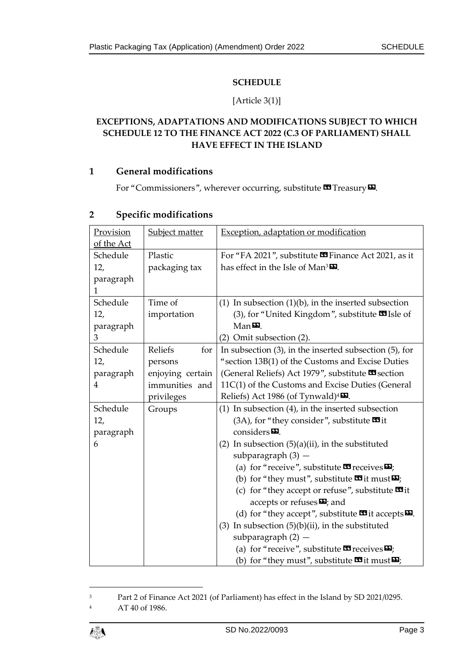## **SCHEDULE**

## [Article 3(1)]

# **EXCEPTIONS, ADAPTATIONS AND MODIFICATIONS SUBJECT TO WHICH SCHEDULE 12 TO THE FINANCE ACT 2022 (C.3 OF PARLIAMENT) SHALL HAVE EFFECT IN THE ISLAND**

## **1 General modifications**

For "Commissioners", wherever occurring, substitute **II** Treasury  $\mathbf{E}$ .

| Provision  | Subject matter   | Exception, adaptation or modification                                        |
|------------|------------------|------------------------------------------------------------------------------|
| of the Act |                  |                                                                              |
| Schedule   | Plastic          | For "FA 2021", substitute <b>S</b> Finance Act 2021, as it                   |
| 12,        | packaging tax    | has effect in the Isle of Man <sup>3</sup>                                   |
| paragraph  |                  |                                                                              |
| 1          |                  |                                                                              |
| Schedule   | Time of          | (1) In subsection $(1)(b)$ , in the inserted subsection                      |
| 12,        | importation      | (3), for "United Kingdom", substitute <b>3</b> Isle of                       |
| paragraph  |                  | $Man$ $D$ .                                                                  |
| 3          |                  | (2) Omit subsection (2).                                                     |
| Schedule   | Reliefs<br>for   | In subsection $(3)$ , in the inserted subsection $(5)$ , for                 |
| 12,        | persons          | "section 13B(1) of the Customs and Excise Duties                             |
| paragraph  | enjoying certain | (General Reliefs) Act 1979", substitute <b>x</b> section                     |
| 4          | immunities and   | 11C(1) of the Customs and Excise Duties (General                             |
|            | privileges       | Reliefs) Act 1986 (of Tynwald) <sup>4</sup>                                  |
| Schedule   | Groups           | $(1)$ In subsection $(4)$ , in the inserted subsection                       |
| 12,        |                  | $(3A)$ , for "they consider", substitute $\blacksquare$ it                   |
| paragraph  |                  | considers $\mathbf{E}$ .                                                     |
| 6          |                  | (2) In subsection $(5)(a)(ii)$ , in the substituted                          |
|            |                  | subparagraph $(3)$ -                                                         |
|            |                  | (a) for "receive", substitute $\blacksquare$ receives $\blacksquare$ ;       |
|            |                  | (b) for "they must", substitute $\mathbf{w}$ it must $\mathbf{w}$ ;          |
|            |                  | (c) for "they accept or refuse", substitute $\blacksquare$ it                |
|            |                  | accepts or refuses $\boldsymbol{\Sigma}$ ; and                               |
|            |                  | (d) for "they accept", substitute $\blacksquare$ it accepts $\blacksquare$ . |
|            |                  | (3) In subsection $(5)(b)(ii)$ , in the substituted                          |
|            |                  | subparagraph $(2)$ -                                                         |
|            |                  | (a) for "receive", substitute $\mathbf{\Omega}$ receives $\mathbf{\Sigma}$ ; |
|            |                  | (b) for "they must", substitute $\mathbf{w}$ it must $\mathbf{w}$ ;          |

## **2 Specific modifications**

<sup>4</sup> AT 40 of 1986.



1

<sup>3</sup> Part 2 of Finance Act 2021 (of Parliament) has effect in the Island by SD 2021/0295.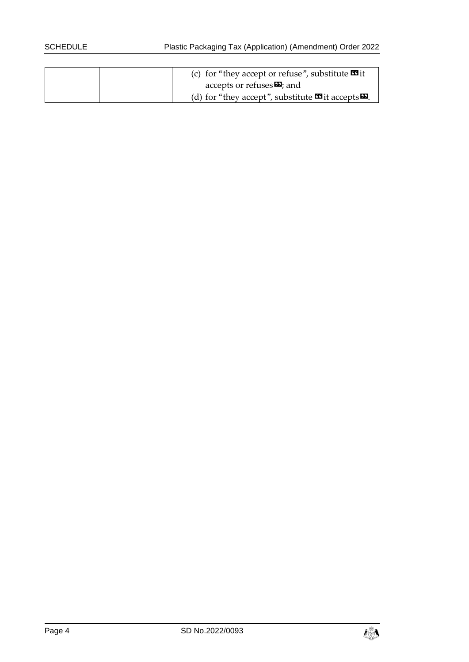| (c) for "they accept or refuse", substitute $\mathbf{\mathfrak{B}}$ it                       |
|----------------------------------------------------------------------------------------------|
| accepts or refuses $\mathbf{E}$ ; and                                                        |
| (d) for "they accept", substitute $\mathbf{\mathcal{F}}$ it accepts $\mathbf{\mathcal{F}}$ . |

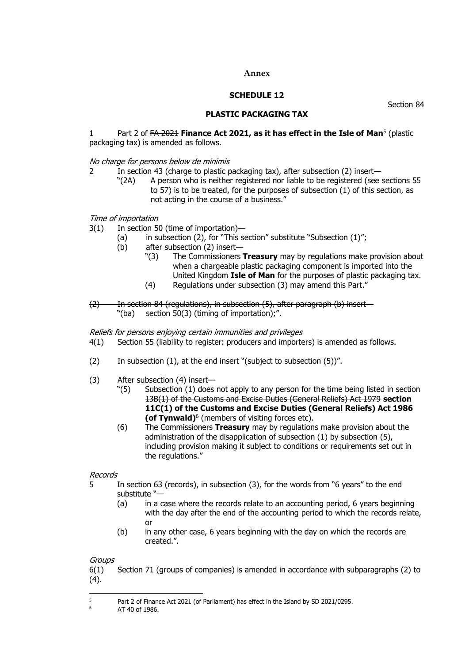#### **Annex**

#### **SCHEDULE 12**

Section 84

#### **PLASTIC PACKAGING TAX**

#### 1 Part 2 of <del>FA 2021</del> **Finance Act 2021, as it has effect in the Isle of Man<sup>5</sup> (plastic** packaging tax) is amended as follows.

#### No charge for persons below de minimis

- 2 In section 43 (charge to plastic packaging tax), after subsection (2) insert—
	- "(2A) A person who is neither registered nor liable to be registered (see sections 55 to 57) is to be treated, for the purposes of subsection (1) of this section, as not acting in the course of a business."

#### Time of importation

- 3(1) In section 50 (time of importation)—
	- (a) in subsection (2), for "This section" substitute "Subsection  $(1)$ ";
	- (b) after subsection (2) insert—
		- "(3) The Commissioners **Treasury** may by regulations make provision about when a chargeable plastic packaging component is imported into the United Kingdom **Isle of Man** for the purposes of plastic packaging tax.
		- (4) Regulations under subsection (3) may amend this Part."
- (2) In section 84 (regulations), in subsection (5), after paragraph (b) insert— "(ba) section 50(3) (timing of importation);".

Reliefs for persons enjoying certain immunities and privileges

- 4(1) Section 55 (liability to register: producers and importers) is amended as follows.
- (2) In subsection (1), at the end insert "(subject to subsection (5))".
- (3) After subsection (4) insert—
	- "(5) Subsection (1) does not apply to any person for the time being listed in section 13B(1) of the Customs and Excise Duties (General Reliefs) Act 1979 **section 11C(1) of the Customs and Excise Duties (General Reliefs) Act 1986 (of Tynwald)**<sup>6</sup> (members of visiting forces etc).
	- (6) The Commissioners **Treasury** may by regulations make provision about the administration of the disapplication of subsection (1) by subsection (5), including provision making it subject to conditions or requirements set out in the regulations."

#### Records

- 5 In section 63 (records), in subsection (3), for the words from "6 years" to the end substitute "—
	- (a) in a case where the records relate to an accounting period, 6 years beginning with the day after the end of the accounting period to which the records relate, or
	- (b) in any other case, 6 years beginning with the day on which the records are created.".

#### **Groups**

6(1) Section 71 (groups of companies) is amended in accordance with subparagraphs (2) to (4).

<sup>5</sup>  $^{5}$  Part 2 of Finance Act 2021 (of Parliament) has effect in the Island by SD 2021/0295.

AT 40 of 1986.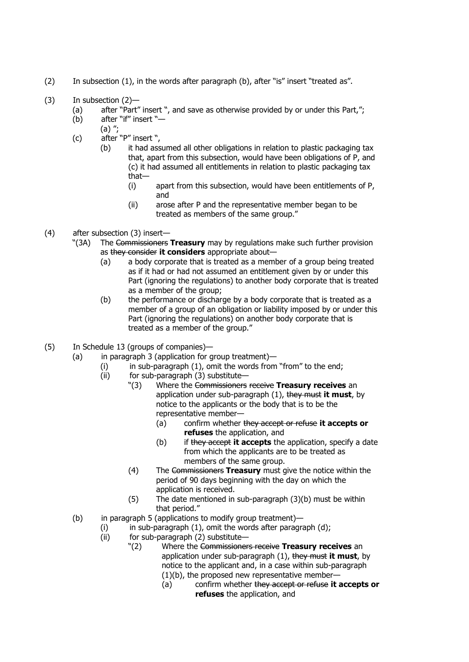- (2) In subsection (1), in the words after paragraph (b), after "is" insert "treated as".
- (3) In subsection (2)—
	- (a) after "Part" insert ", and save as otherwise provided by or under this Part,";
	- (b) after "if" insert "—
		- (a) ";
	- (c) after "P" insert ",
		- (b) it had assumed all other obligations in relation to plastic packaging tax that, apart from this subsection, would have been obligations of P, and (c) it had assumed all entitlements in relation to plastic packaging tax that—
			- (i) apart from this subsection, would have been entitlements of P, and
			- (ii) arose after P and the representative member began to be treated as members of the same group."
- (4) after subsection (3) insert—
	- "(3A) The Commissioners **Treasury** may by regulations make such further provision as they consider **it considers** appropriate about—
		- (a) a body corporate that is treated as a member of a group being treated as if it had or had not assumed an entitlement given by or under this Part (ignoring the regulations) to another body corporate that is treated as a member of the group;
		- (b) the performance or discharge by a body corporate that is treated as a member of a group of an obligation or liability imposed by or under this Part (ignoring the regulations) on another body corporate that is treated as a member of the group."
- (5) In Schedule 13 (groups of companies)—
	- (a) in paragraph 3 (application for group treatment)—
		- (i) in sub-paragraph (1), omit the words from "from" to the end;
		- (ii) for sub-paragraph (3) substitute—
			- "(3) Where the Commissioners receive **Treasury receives** an application under sub-paragraph (1), they must **it must**, by notice to the applicants or the body that is to be the representative member—
				- (a) confirm whether they accept or refuse **it accepts or refuses** the application, and
				- (b) if they accept **it accepts** the application, specify a date from which the applicants are to be treated as members of the same group.
			- (4) The Commissioners **Treasury** must give the notice within the period of 90 days beginning with the day on which the application is received.
			- (5) The date mentioned in sub-paragraph (3)(b) must be within that period."
	- (b) in paragraph 5 (applications to modify group treatment)—
		- $(i)$  in sub-paragraph  $(1)$ , omit the words after paragraph  $(d)$ ;
		- (ii) for sub-paragraph (2) substitute—
			- "(2) Where the Commissioners receive **Treasury receives** an application under sub-paragraph (1), they must **it must**, by notice to the applicant and, in a case within sub-paragraph (1)(b), the proposed new representative member—
				- (a) confirm whether they accept or refuse **it accepts or refuses** the application, and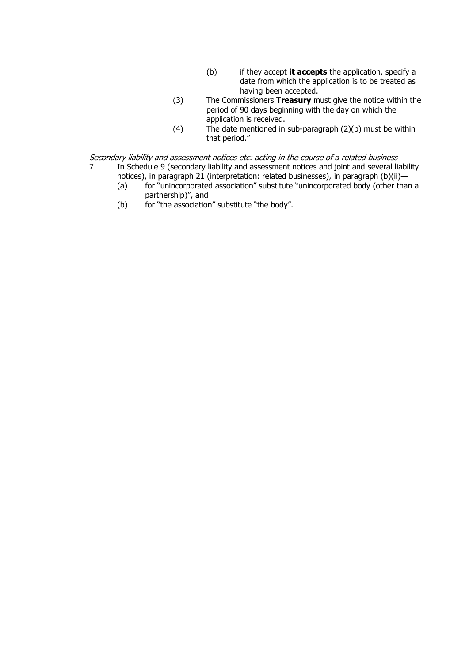- (b) if they accept **it accepts** the application, specify a date from which the application is to be treated as having been accepted.
- (3) The Commissioners **Treasury** must give the notice within the period of 90 days beginning with the day on which the application is received.
- (4) The date mentioned in sub-paragraph (2)(b) must be within that period."

Secondary liability and assessment notices etc: acting in the course of a related business<br>7 In Schedule 9 (secondary liability and assessment notices and ioint and several lia In Schedule 9 (secondary liability and assessment notices and joint and several liability

- notices), in paragraph 21 (interpretation: related businesses), in paragraph (b)(ii)—<br>(a) for "unincorporated association" substitute "unincorporated body (other that
	- for "unincorporated association" substitute "unincorporated body (other than a partnership)", and
- (b) for "the association" substitute "the body".